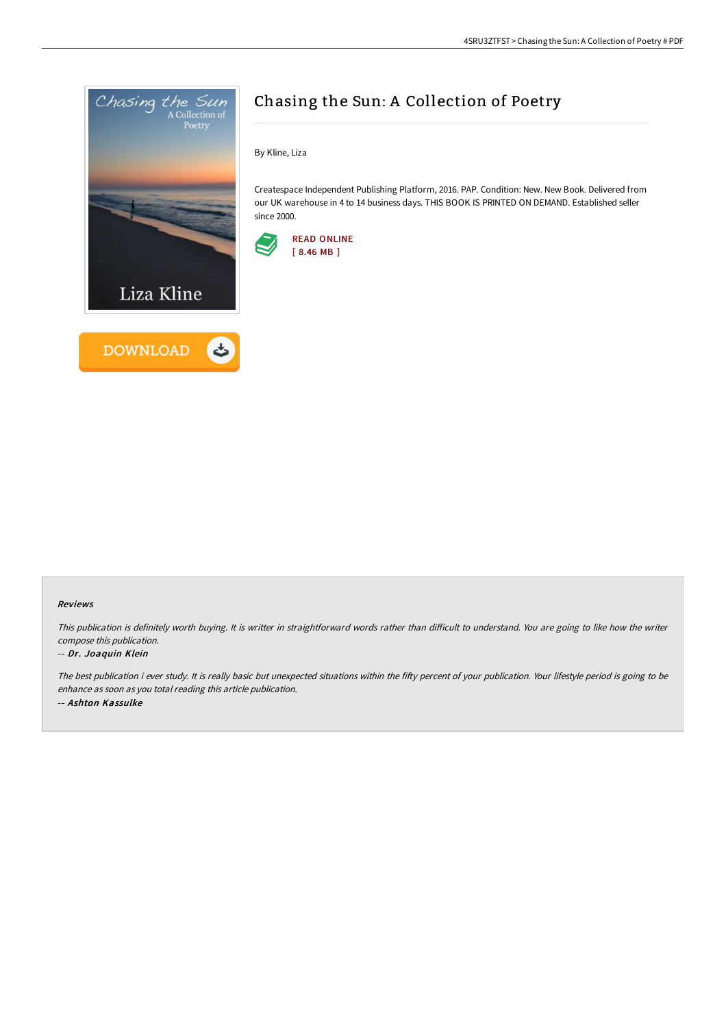



## Chasing the Sun: A Collection of Poetry

By Kline, Liza

Createspace Independent Publishing Platform, 2016. PAP. Condition: New. New Book. Delivered from our UK warehouse in 4 to 14 business days. THIS BOOK IS PRINTED ON DEMAND. Established seller since 2000.



## Reviews

This publication is definitely worth buying. It is writter in straightforward words rather than difficult to understand. You are going to like how the writer compose this publication.

## -- Dr. Joaquin Klein

The best publication i ever study. It is really basic but unexpected situations within the fifty percent of your publication. Your lifestyle period is going to be enhance as soon as you total reading this article publication. -- Ashton Kassulke